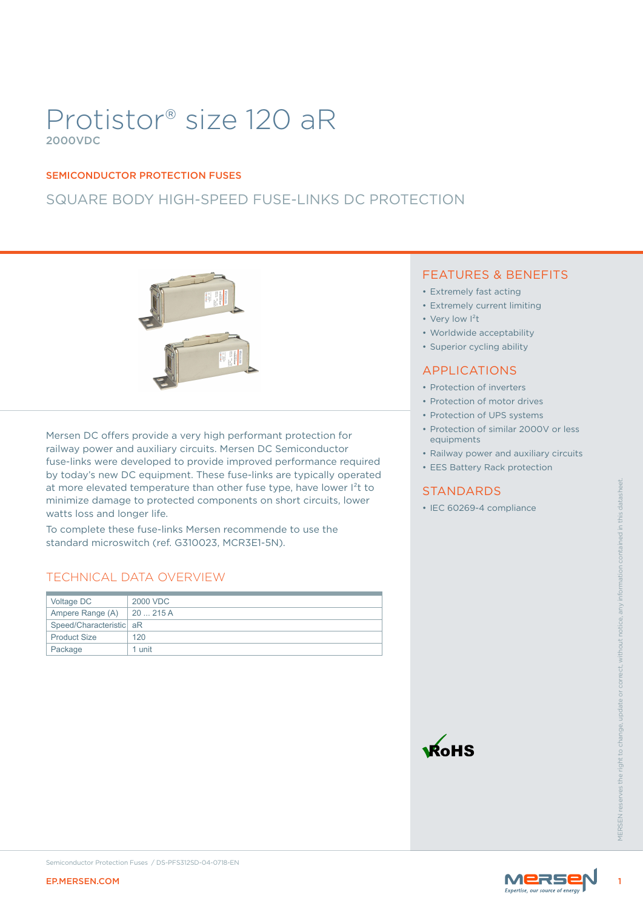# Protistor® size 120 aR 2000VDC

#### SEMICONDUCTOR PROTECTION FUSES

# SQUARE BODY HIGH-SPEED FUSE-LINKS DC PROTECTION



Mersen DC offers provide a very high performant protection for railway power and auxiliary circuits. Mersen DC Semiconductor fuse-links were developed to provide improved performance required by today's new DC equipment. These fuse-links are typically operated at more elevated temperature than other fuse type, have lower I<sup>2</sup>t to minimize damage to protected components on short circuits, lower watts loss and longer life.

### TECHNICAL DATA OVERVIEW

| watts loss and longer life. | at more elevated temperature than other fuse type, have lower l <sup>2</sup> t to<br>minimize damage to protected components on short circuits, lower | <b>STANDARDS</b><br>• IEC 60269-4 compliance |       |                   |
|-----------------------------|-------------------------------------------------------------------------------------------------------------------------------------------------------|----------------------------------------------|-------|-------------------|
|                             | To complete these fuse-links Mersen recommende to use the<br>standard microswitch (ref. G310023, MCR3E1-5N).<br>TECHNICAL DATA OVERVIEW               |                                              |       |                   |
| Voltage DC                  | 2000 VDC                                                                                                                                              |                                              |       |                   |
| Ampere Range (A)            | 20  215 A                                                                                                                                             |                                              |       |                   |
| Speed/Characteristic aR     |                                                                                                                                                       |                                              |       |                   |
| <b>Product Size</b>         | 120                                                                                                                                                   |                                              |       |                   |
| Package                     | 1 unit                                                                                                                                                |                                              |       |                   |
|                             |                                                                                                                                                       | <b>KoHS</b>                                  |       | <b>VIFRSFN re</b> |
| <b>EP.MERSEN.COM</b>        | Semiconductor Protection Fuses / DS-PFS312SD-04-0718-EN                                                                                               |                                              | MERSE |                   |

### FEATURES & BENEFITS

- Extremely fast acting
- Extremely current limiting
- Very low  $1<sup>2</sup>t$
- Worldwide acceptability
- Superior cycling ability

#### APPLICATIONS

- Protection of inverters
- Protection of motor drives
- Protection of UPS systems
- Protection of similar 2000V or less equipments
- Railway power and auxiliary circuits
- EES Battery Rack protection

#### STANDARDS





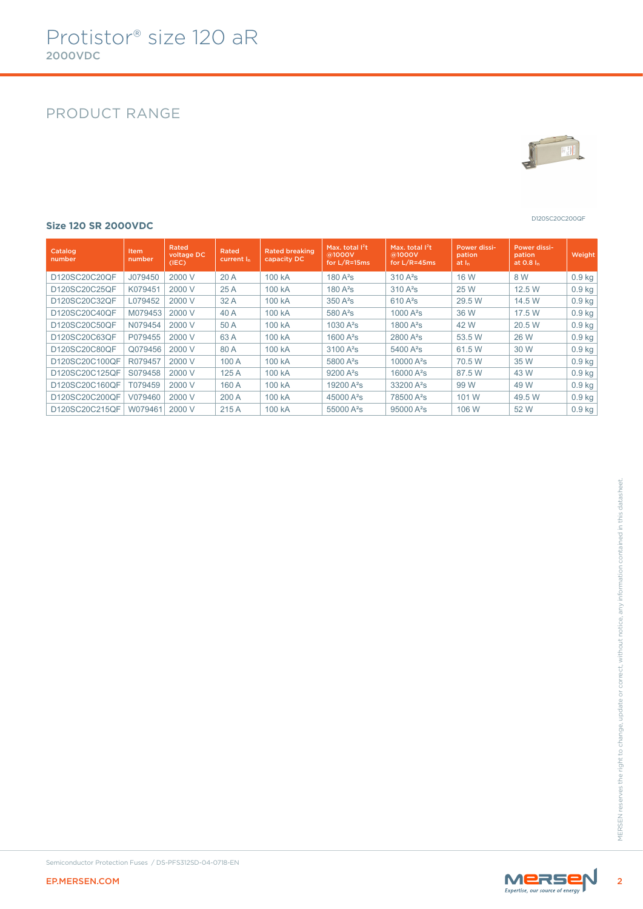# PRODUCT RANGE



D120SC20C200QF

#### **Size 120 SR 2000VDC**

| Catalog<br>number | Item<br>number | Rated<br>voltage DC<br>(IEC) | Rated<br>current $I_n$ | <b>Rated breaking</b><br>capacity DC | Max. total $I^2t$<br>@1000V<br>for $L/R = 15ms$ | Max. total $1^2t$<br>@1000V<br>for $L/R = 45ms$ | <b>Power dissi-</b><br>pation<br>at <sub>h</sub> | Power dissi-<br>pation<br>at $0.8 In$ | Weight   |
|-------------------|----------------|------------------------------|------------------------|--------------------------------------|-------------------------------------------------|-------------------------------------------------|--------------------------------------------------|---------------------------------------|----------|
| D120SC20C20QF     | J079450        | 2000 V                       | 20A                    | 100 kA                               | $180A^2s$                                       | $310A^2s$                                       | 16 W                                             | 8 W                                   | $0.9$ kg |
| D120SC20C25QF     | K079451        | 2000 V                       | 25A                    | 100 kA                               | $180A^2s$                                       | $310A^2s$                                       | 25 W                                             | 12.5 W                                | $0.9$ kg |
| D120SC20C32QF     | L079452        | 2000 V                       | 32A                    | 100 kA                               | $350A^2s$                                       | $610A^2s$                                       | 29.5 W                                           | 14.5 W                                | $0.9$ kg |
| D120SC20C40QF     | M079453        | 2000 V                       | 40 A                   | 100 kA                               | 580 $A^2$ s                                     | 1000 $A^2S$                                     | 36 W                                             | 17.5 W                                | $0.9$ kg |
| D120SC20C50QF     | N079454        | 2000 V                       | 50 A                   | 100 kA                               | 1030 $A^2S$                                     | 1800 $A^2S$                                     | 42 W                                             | 20.5 W                                | $0.9$ kg |
| D120SC20C63QF     | P079455        | 2000 V                       | 63 A                   | 100 kA                               | 1600 $A^2S$                                     | $2800 A^2s$                                     | 53.5 W                                           | 26 W                                  | $0.9$ kg |
| D120SC20C80QF     | Q079456        | 2000 V                       | 80 A                   | 100 kA                               | $3100A^2s$                                      | 5400 A <sup>2</sup> s                           | 61.5 W                                           | 30 W                                  | $0.9$ kg |
| D120SC20C100QF    | R079457        | 2000 V                       | 100 A                  | 100 kA                               | 5800 A <sup>2</sup> s                           | 10000 $A^2s$                                    | 70.5 W                                           | 35 W                                  | $0.9$ kg |
| D120SC20C125QF    | S079458        | 2000 V                       | 125A                   | 100 kA                               | $9200 A^2s$                                     | 16000 A <sup>2</sup> s                          | 87.5 W                                           | 43 W                                  | $0.9$ kg |
| D120SC20C160QF    | T079459        | 2000 V                       | 160 A                  | 100 kA                               | 19200 A <sup>2</sup> s                          | 33200 A <sup>2</sup> s                          | 99 W                                             | 49 W                                  | $0.9$ kg |
| D120SC20C200QF    | V079460        | 2000 V                       | 200 A                  | 100 kA                               | 45000 A <sup>2</sup> s                          | 78500 A <sup>2</sup> s                          | 101 W                                            | 49.5 W                                | $0.9$ kg |
| D120SC20C215QF    | W079461        | 2000 V                       | 215 A                  | 100 kA                               | 55000 A <sup>2</sup> s                          | $95000 A^2s$                                    | 106 W                                            | 52 W                                  | $0.9$ kg |

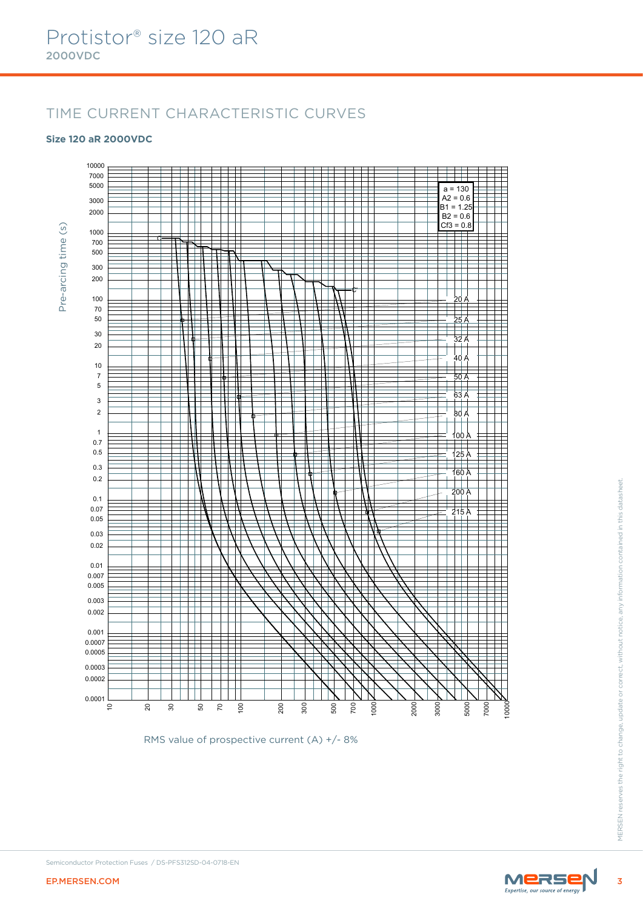# TIME CURRENT CHARACTERISTIC CURVES

#### **Size 120 aR 2000VDC**



RMS value of prospective current (A) +/- 8%

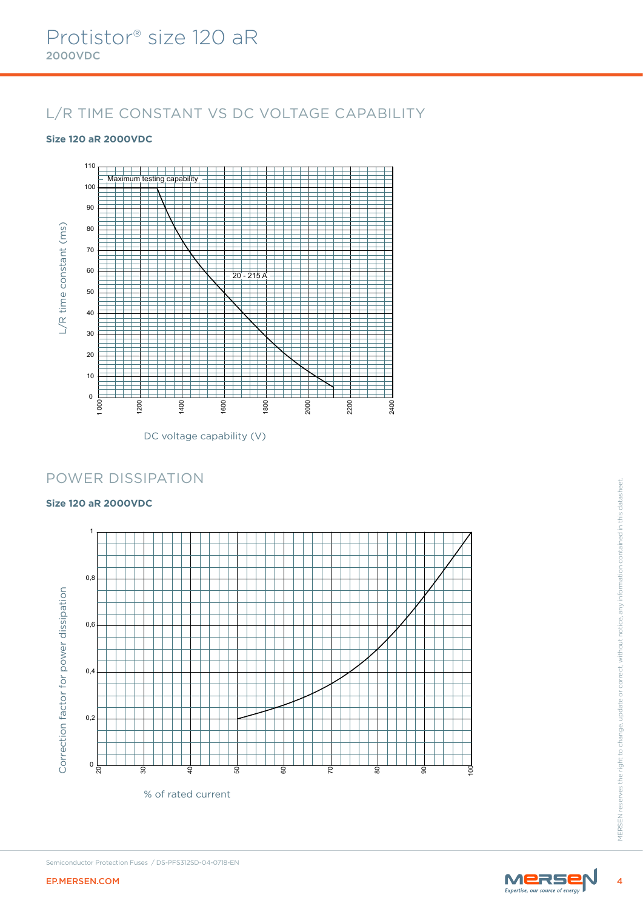# L/R TIME CONSTANT VS DC VOLTAGE CAPABILITY

### **Size 120 aR 2000VDC**



DC voltage capability (V)

### POWER DISSIPATION

#### **Size 120 aR 2000VDC**



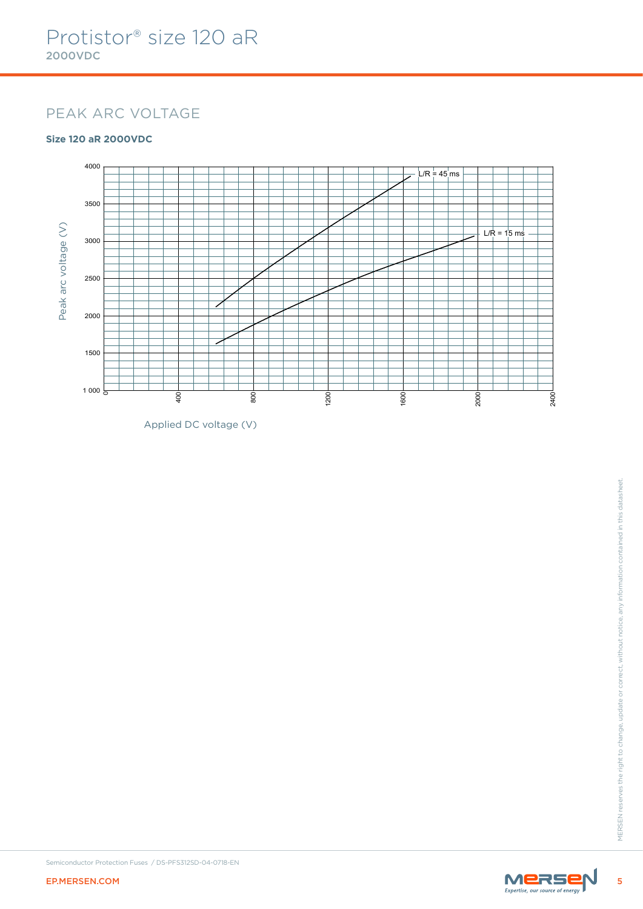### PEAK ARC VOLTAGE

### **Size 120 aR 2000VDC**



Applied DC voltage (V)